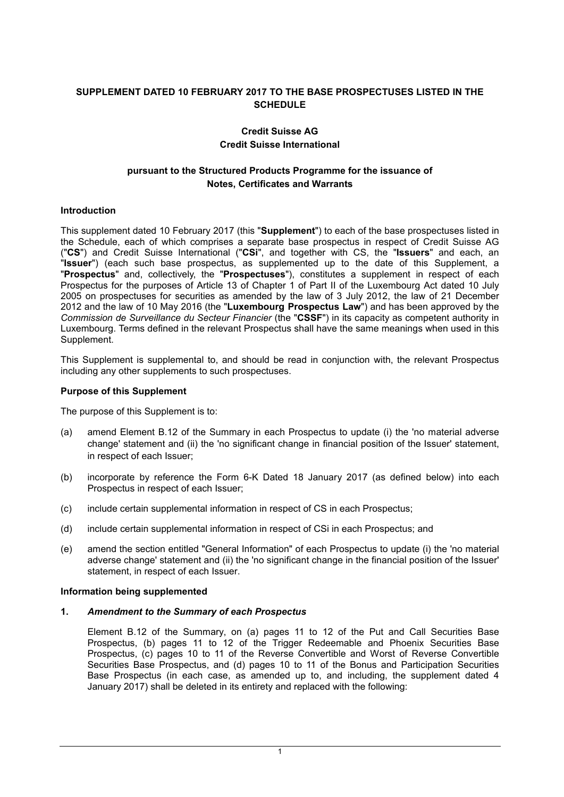# **SUPPLEMENT DATED 10 FEBRUARY 2017 TO THE BASE PROSPECTUSES LISTED IN THE SCHEDULE**

## **Credit Suisse AG Credit Suisse International**

# **pursuant to the Structured Products Programme for the issuance of Notes, Certificates and Warrants**

## **Introduction**

This supplement dated 10 February 2017 (this "**Supplement**") to each of the base prospectuses listed in the Schedule, each of which comprises a separate base prospectus in respect of Credit Suisse AG ("**CS**") and Credit Suisse International ("**CSi**", and together with CS, the "**Issuers**" and each, an "**Issuer**") (each such base prospectus, as supplemented up to the date of this Supplement, a "**Prospectus**" and, collectively, the "**Prospectuses**"), constitutes a supplement in respect of each Prospectus for the purposes of Article 13 of Chapter 1 of Part II of the Luxembourg Act dated 10 July 2005 on prospectuses for securities as amended by the law of 3 July 2012, the law of 21 December 2012 and the law of 10 May 2016 (the "**Luxembourg Prospectus Law**") and has been approved by the *Commission de Surveillance du Secteur Financier* (the "**CSSF**") in its capacity as competent authority in Luxembourg. Terms defined in the relevant Prospectus shall have the same meanings when used in this Supplement.

This Supplement is supplemental to, and should be read in conjunction with, the relevant Prospectus including any other supplements to such prospectuses.

### **Purpose of this Supplement**

The purpose of this Supplement is to:

- (a) amend Element B.12 of the Summary in each Prospectus to update (i) the 'no material adverse change' statement and (ii) the 'no significant change in financial position of the Issuer' statement, in respect of each Issuer;
- (b) incorporate by reference the Form 6-K Dated 18 January 2017 (as defined below) into each Prospectus in respect of each Issuer;
- (c) include certain supplemental information in respect of CS in each Prospectus;
- (d) include certain supplemental information in respect of CSi in each Prospectus; and
- (e) amend the section entitled "General Information" of each Prospectus to update (i) the 'no material adverse change' statement and (ii) the 'no significant change in the financial position of the Issuer' statement, in respect of each Issuer.

### **Information being supplemented**

### **1.** *Amendment to the Summary of each Prospectus*

Element B.12 of the Summary, on (a) pages 11 to 12 of the Put and Call Securities Base Prospectus, (b) pages 11 to 12 of the Trigger Redeemable and Phoenix Securities Base Prospectus, (c) pages 10 to 11 of the Reverse Convertible and Worst of Reverse Convertible Securities Base Prospectus, and (d) pages 10 to 11 of the Bonus and Participation Securities Base Prospectus (in each case, as amended up to, and including, the supplement dated 4 January 2017) shall be deleted in its entirety and replaced with the following: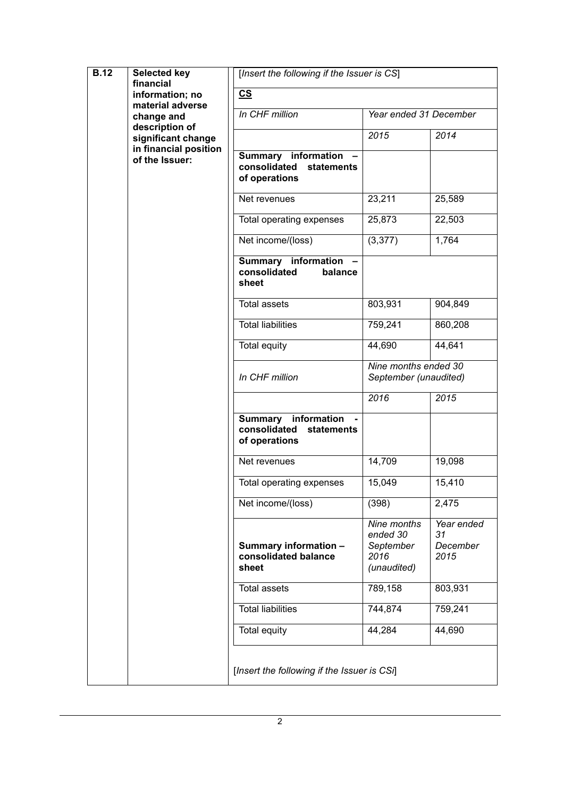| <b>B.12</b> | <b>Selected key</b><br>financial<br>information; no<br>material adverse<br>change and<br>description of<br>significant change<br>in financial position<br>of the Issuer: | [Insert the following if the Issuer is CS]                                       |                                                             |                                      |
|-------------|--------------------------------------------------------------------------------------------------------------------------------------------------------------------------|----------------------------------------------------------------------------------|-------------------------------------------------------------|--------------------------------------|
|             |                                                                                                                                                                          | $\underline{\mathbf{c}}$                                                         |                                                             |                                      |
|             |                                                                                                                                                                          | In CHF million                                                                   | Year ended 31 December                                      |                                      |
|             |                                                                                                                                                                          |                                                                                  | 2015                                                        | 2014                                 |
|             |                                                                                                                                                                          | <b>Summary information</b><br>consolidated<br>statements<br>of operations        |                                                             |                                      |
|             |                                                                                                                                                                          | Net revenues                                                                     | 23,211                                                      | 25,589                               |
|             |                                                                                                                                                                          | Total operating expenses                                                         | 25,873                                                      | 22,503                               |
|             |                                                                                                                                                                          | Net income/(loss)                                                                | (3, 377)                                                    | 1,764                                |
|             |                                                                                                                                                                          | <b>Summary information</b><br>consolidated<br>balance<br>sheet                   |                                                             |                                      |
|             |                                                                                                                                                                          | <b>Total assets</b>                                                              | 803,931                                                     | 904,849                              |
|             |                                                                                                                                                                          | <b>Total liabilities</b>                                                         | 759,241                                                     | 860,208                              |
|             |                                                                                                                                                                          | <b>Total equity</b>                                                              | 44,690                                                      | 44,641                               |
|             |                                                                                                                                                                          | In CHF million                                                                   | Nine months ended 30<br>September (unaudited)               |                                      |
|             |                                                                                                                                                                          |                                                                                  | 2016                                                        | 2015                                 |
|             |                                                                                                                                                                          | <b>Summary</b> information<br>consolidated<br><b>statements</b><br>of operations |                                                             |                                      |
|             |                                                                                                                                                                          | Net revenues                                                                     | 14,709                                                      | 19,098                               |
|             |                                                                                                                                                                          | Total operating expenses                                                         | 15,049                                                      | 15,410                               |
|             |                                                                                                                                                                          | Net income/(loss)                                                                | (398)                                                       | 2,475                                |
|             |                                                                                                                                                                          | Summary information -<br>consolidated balance<br>sheet                           | Nine months<br>ended 30<br>September<br>2016<br>(unaudited) | Year ended<br>31<br>December<br>2015 |
|             |                                                                                                                                                                          | <b>Total assets</b>                                                              | 789,158                                                     | 803,931                              |
|             |                                                                                                                                                                          | <b>Total liabilities</b>                                                         | 744,874                                                     | 759,241                              |
|             |                                                                                                                                                                          | Total equity                                                                     | 44,284                                                      | 44,690                               |
|             |                                                                                                                                                                          | [Insert the following if the Issuer is CSi]                                      |                                                             |                                      |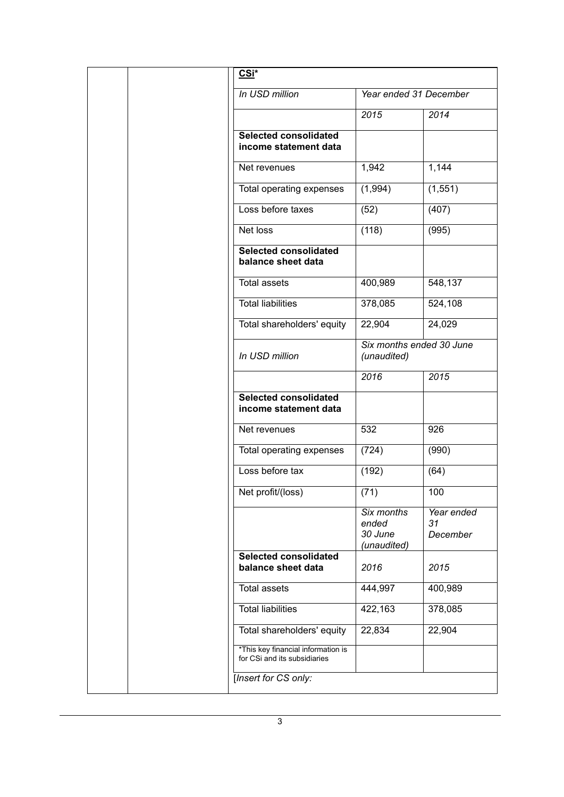| CSi*                                                               |                                               |                              |
|--------------------------------------------------------------------|-----------------------------------------------|------------------------------|
| In USD million                                                     | Year ended 31 December                        |                              |
|                                                                    | 2015                                          | 2014                         |
| <b>Selected consolidated</b><br>income statement data              |                                               |                              |
| Net revenues                                                       | 1,942                                         | 1,144                        |
| Total operating expenses                                           | (1,994)                                       | (1, 551)                     |
| Loss before taxes                                                  | (52)                                          | (407)                        |
| Net loss                                                           | (118)                                         | (995)                        |
| <b>Selected consolidated</b><br>balance sheet data                 |                                               |                              |
| <b>Total assets</b>                                                | 400,989                                       | 548,137                      |
| <b>Total liabilities</b>                                           | 378,085                                       | 524,108                      |
| Total shareholders' equity                                         | 22,904                                        | 24,029                       |
| In USD million                                                     | Six months ended 30 June<br>(unaudited)       |                              |
|                                                                    | 2016                                          | 2015                         |
| <b>Selected consolidated</b><br>income statement data              |                                               |                              |
| Net revenues                                                       | 532                                           | 926                          |
| Total operating expenses                                           | (724)                                         | (990)                        |
| Loss before tax                                                    | (192)                                         | (64)                         |
| Net profit/(loss)                                                  | (71)                                          | 100                          |
|                                                                    | Six months<br>ended<br>30 June<br>(unaudited) | Year ended<br>31<br>December |
| <b>Selected consolidated</b><br>balance sheet data                 | 2016                                          | 2015                         |
| <b>Total assets</b>                                                | 444,997                                       | 400,989                      |
| <b>Total liabilities</b>                                           | 422,163                                       | 378,085                      |
| Total shareholders' equity                                         | 22,834                                        | 22,904                       |
| *This key financial information is<br>for CSi and its subsidiaries |                                               |                              |
| [Insert for CS only:                                               |                                               |                              |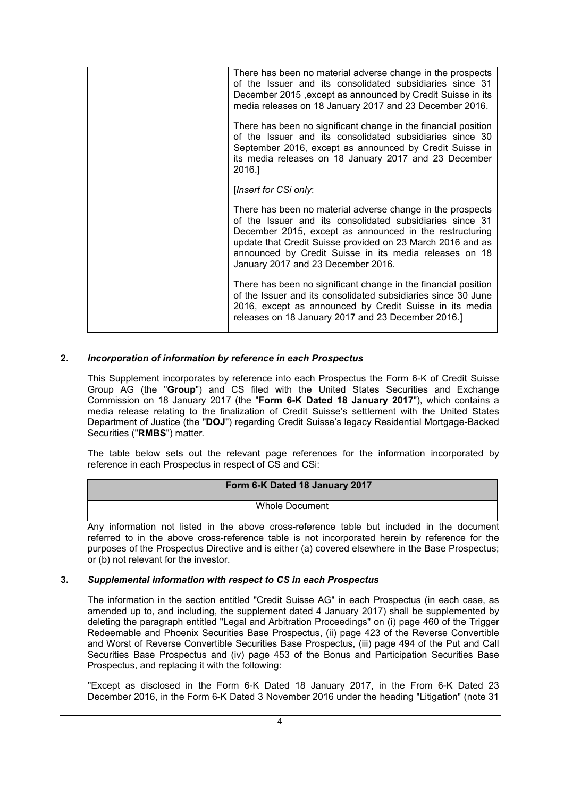| There has been no material adverse change in the prospects<br>of the Issuer and its consolidated subsidiaries since 31<br>December 2015, except as announced by Credit Suisse in its<br>media releases on 18 January 2017 and 23 December 2016.                                                                                                 |
|-------------------------------------------------------------------------------------------------------------------------------------------------------------------------------------------------------------------------------------------------------------------------------------------------------------------------------------------------|
| There has been no significant change in the financial position<br>of the Issuer and its consolidated subsidiaries since 30<br>September 2016, except as announced by Credit Suisse in<br>its media releases on 18 January 2017 and 23 December<br>2016.]                                                                                        |
| [Insert for CSi only:                                                                                                                                                                                                                                                                                                                           |
| There has been no material adverse change in the prospects<br>of the Issuer and its consolidated subsidiaries since 31<br>December 2015, except as announced in the restructuring<br>update that Credit Suisse provided on 23 March 2016 and as<br>announced by Credit Suisse in its media releases on 18<br>January 2017 and 23 December 2016. |
| There has been no significant change in the financial position<br>of the Issuer and its consolidated subsidiaries since 30 June<br>2016, except as announced by Credit Suisse in its media<br>releases on 18 January 2017 and 23 December 2016.]                                                                                                |

## **2.** *Incorporation of information by reference in each Prospectus*

This Supplement incorporates by reference into each Prospectus the Form 6-K of Credit Suisse Group AG (the "**Group**") and CS filed with the United States Securities and Exchange Commission on 18 January 2017 (the "**Form 6-K Dated 18 January 2017**"), which contains a media release relating to the finalization of Credit Suisse's settlement with the United States Department of Justice (the "**DOJ**") regarding Credit Suisse's legacy Residential Mortgage-Backed Securities ("**RMBS**") matter.

The table below sets out the relevant page references for the information incorporated by reference in each Prospectus in respect of CS and CSi:

### **Form 6-K Dated 18 January 2017**

Whole Document

Any information not listed in the above cross-reference table but included in the document referred to in the above cross-reference table is not incorporated herein by reference for the purposes of the Prospectus Directive and is either (a) covered elsewhere in the Base Prospectus; or (b) not relevant for the investor.

### **3.** *Supplemental information with respect to CS in each Prospectus*

The information in the section entitled "Credit Suisse AG" in each Prospectus (in each case, as amended up to, and including, the supplement dated 4 January 2017) shall be supplemented by deleting the paragraph entitled "Legal and Arbitration Proceedings" on (i) page 460 of the Trigger Redeemable and Phoenix Securities Base Prospectus, (ii) page 423 of the Reverse Convertible and Worst of Reverse Convertible Securities Base Prospectus, (iii) page 494 of the Put and Call Securities Base Prospectus and (iv) page 453 of the Bonus and Participation Securities Base Prospectus, and replacing it with the following:

''Except as disclosed in the Form 6-K Dated 18 January 2017, in the From 6-K Dated 23 December 2016, in the Form 6-K Dated 3 November 2016 under the heading "Litigation" (note 31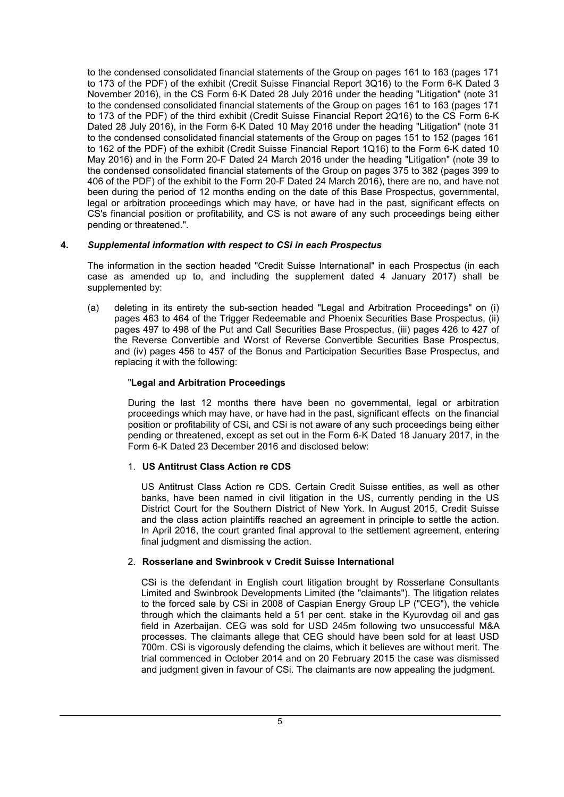to the condensed consolidated financial statements of the Group on pages 161 to 163 (pages 171 to 173 of the PDF) of the exhibit (Credit Suisse Financial Report 3Q16) to the Form 6-K Dated 3 November 2016), in the CS Form 6-K Dated 28 July 2016 under the heading "Litigation" (note 31 to the condensed consolidated financial statements of the Group on pages 161 to 163 (pages 171 to 173 of the PDF) of the third exhibit (Credit Suisse Financial Report 2Q16) to the CS Form 6-K Dated 28 July 2016), in the Form 6-K Dated 10 May 2016 under the heading "Litigation" (note 31 to the condensed consolidated financial statements of the Group on pages 151 to 152 (pages 161 to 162 of the PDF) of the exhibit (Credit Suisse Financial Report 1Q16) to the Form 6-K dated 10 May 2016) and in the Form 20-F Dated 24 March 2016 under the heading "Litigation" (note 39 to the condensed consolidated financial statements of the Group on pages 375 to 382 (pages 399 to 406 of the PDF) of the exhibit to the Form 20-F Dated 24 March 2016), there are no, and have not been during the period of 12 months ending on the date of this Base Prospectus, governmental, legal or arbitration proceedings which may have, or have had in the past, significant effects on CS's financial position or profitability, and CS is not aware of any such proceedings being either pending or threatened.".

## **4.** *Supplemental information with respect to CSi in each Prospectus*

The information in the section headed "Credit Suisse International" in each Prospectus (in each case as amended up to, and including the supplement dated 4 January 2017) shall be supplemented by:

(a) deleting in its entirety the sub-section headed "Legal and Arbitration Proceedings" on (i) pages 463 to 464 of the Trigger Redeemable and Phoenix Securities Base Prospectus, (ii) pages 497 to 498 of the Put and Call Securities Base Prospectus, (iii) pages 426 to 427 of the Reverse Convertible and Worst of Reverse Convertible Securities Base Prospectus, and (iv) pages 456 to 457 of the Bonus and Participation Securities Base Prospectus, and replacing it with the following:

## "**Legal and Arbitration Proceedings**

During the last 12 months there have been no governmental, legal or arbitration proceedings which may have, or have had in the past, significant effects on the financial position or profitability of CSi, and CSi is not aware of any such proceedings being either pending or threatened, except as set out in the Form 6-K Dated 18 January 2017, in the Form 6-K Dated 23 December 2016 and disclosed below:

### 1. **US Antitrust Class Action re CDS**

US Antitrust Class Action re CDS. Certain Credit Suisse entities, as well as other banks, have been named in civil litigation in the US, currently pending in the US District Court for the Southern District of New York. In August 2015, Credit Suisse and the class action plaintiffs reached an agreement in principle to settle the action. In April 2016, the court granted final approval to the settlement agreement, entering final judgment and dismissing the action.

### 2. **Rosserlane and Swinbrook v Credit Suisse International**

CSi is the defendant in English court litigation brought by Rosserlane Consultants Limited and Swinbrook Developments Limited (the "claimants"). The litigation relates to the forced sale by CSi in 2008 of Caspian Energy Group LP ("CEG"), the vehicle through which the claimants held a 51 per cent. stake in the Kyurovdag oil and gas field in Azerbaijan. CEG was sold for USD 245m following two unsuccessful M&A processes. The claimants allege that CEG should have been sold for at least USD 700m. CSi is vigorously defending the claims, which it believes are without merit. The trial commenced in October 2014 and on 20 February 2015 the case was dismissed and judgment given in favour of CSi. The claimants are now appealing the judgment.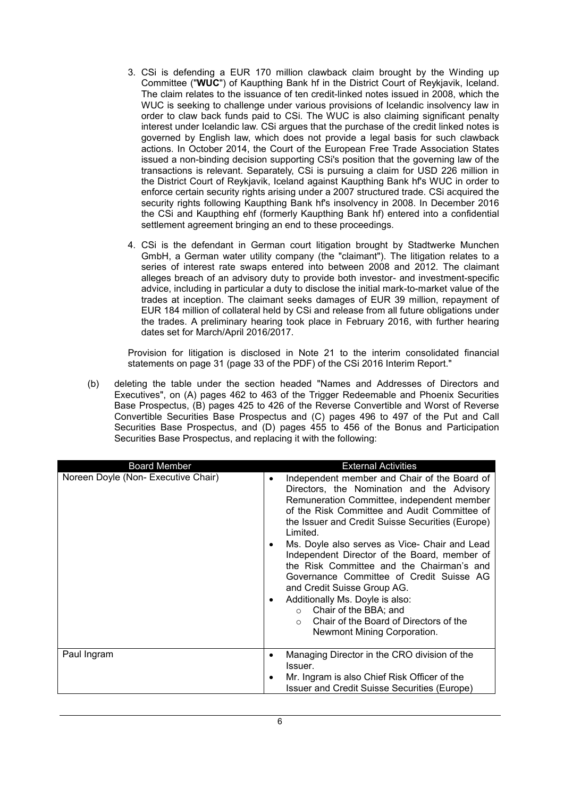- 3. CSi is defending a EUR 170 million clawback claim brought by the Winding up Committee ("**WUC**") of Kaupthing Bank hf in the District Court of Reykjavik, Iceland. The claim relates to the issuance of ten credit-linked notes issued in 2008, which the WUC is seeking to challenge under various provisions of Icelandic insolvency law in order to claw back funds paid to CSi. The WUC is also claiming significant penalty interest under Icelandic law. CSi argues that the purchase of the credit linked notes is governed by English law, which does not provide a legal basis for such clawback actions. In October 2014, the Court of the European Free Trade Association States issued a non-binding decision supporting CSi's position that the governing law of the transactions is relevant. Separately, CSi is pursuing a claim for USD 226 million in the District Court of Reykjavik, Iceland against Kaupthing Bank hf's WUC in order to enforce certain security rights arising under a 2007 structured trade. CSi acquired the security rights following Kaupthing Bank hf's insolvency in 2008. In December 2016 the CSi and Kaupthing ehf (formerly Kaupthing Bank hf) entered into a confidential settlement agreement bringing an end to these proceedings.
- 4. CSi is the defendant in German court litigation brought by Stadtwerke Munchen GmbH, a German water utility company (the "claimant"). The litigation relates to a series of interest rate swaps entered into between 2008 and 2012. The claimant alleges breach of an advisory duty to provide both investor- and investment-specific advice, including in particular a duty to disclose the initial mark-to-market value of the trades at inception. The claimant seeks damages of EUR 39 million, repayment of EUR 184 million of collateral held by CSi and release from all future obligations under the trades. A preliminary hearing took place in February 2016, with further hearing dates set for March/April 2016/2017.

Provision for litigation is disclosed in Note 21 to the interim consolidated financial statements on page 31 (page 33 of the PDF) of the CSi 2016 Interim Report."

(b) deleting the table under the section headed "Names and Addresses of Directors and Executives", on (A) pages 462 to 463 of the Trigger Redeemable and Phoenix Securities Base Prospectus, (B) pages 425 to 426 of the Reverse Convertible and Worst of Reverse Convertible Securities Base Prospectus and (C) pages 496 to 497 of the Put and Call Securities Base Prospectus, and (D) pages 455 to 456 of the Bonus and Participation Securities Base Prospectus, and replacing it with the following:

| <b>Board Member</b>                 | <b>External Activities</b>                                                                                                                                                                                                                                                                                                                                                                                                                                                                                                                                                                                                                                      |
|-------------------------------------|-----------------------------------------------------------------------------------------------------------------------------------------------------------------------------------------------------------------------------------------------------------------------------------------------------------------------------------------------------------------------------------------------------------------------------------------------------------------------------------------------------------------------------------------------------------------------------------------------------------------------------------------------------------------|
| Noreen Doyle (Non- Executive Chair) | Independent member and Chair of the Board of<br>$\bullet$<br>Directors, the Nomination and the Advisory<br>Remuneration Committee, independent member<br>of the Risk Committee and Audit Committee of<br>the Issuer and Credit Suisse Securities (Europe)<br>Limited.<br>Ms. Doyle also serves as Vice- Chair and Lead<br>$\bullet$<br>Independent Director of the Board, member of<br>the Risk Committee and the Chairman's and<br>Governance Committee of Credit Suisse AG<br>and Credit Suisse Group AG.<br>Additionally Ms. Doyle is also:<br>$\bullet$<br>○ Chair of the BBA; and<br>Chair of the Board of Directors of the<br>Newmont Mining Corporation. |
| Paul Ingram                         | Managing Director in the CRO division of the<br>$\bullet$<br>Issuer.                                                                                                                                                                                                                                                                                                                                                                                                                                                                                                                                                                                            |
|                                     | Mr. Ingram is also Chief Risk Officer of the<br>٠<br>Issuer and Credit Suisse Securities (Europe)                                                                                                                                                                                                                                                                                                                                                                                                                                                                                                                                                               |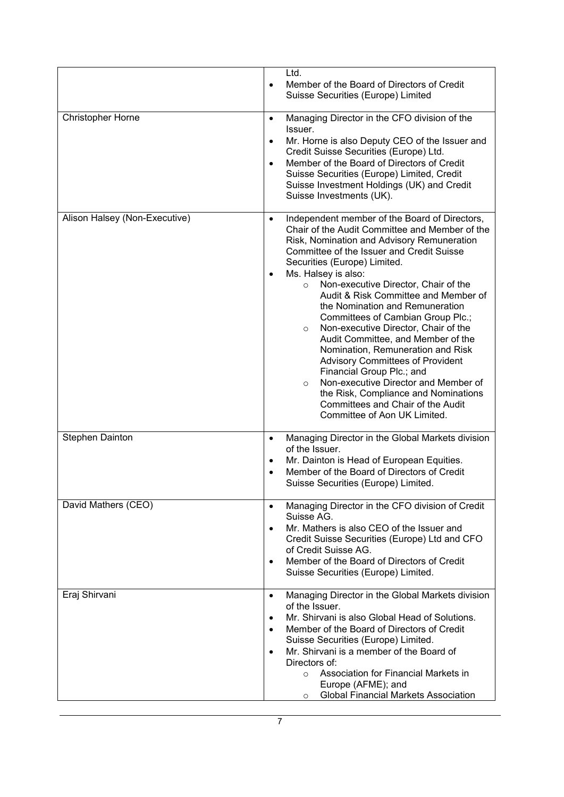|                               | Ltd.<br>Member of the Board of Directors of Credit<br>$\bullet$<br>Suisse Securities (Europe) Limited                                                                                                                                                                                                                                                                                                                                                                                                                                                                                                                                                                                                                                                                                                                |
|-------------------------------|----------------------------------------------------------------------------------------------------------------------------------------------------------------------------------------------------------------------------------------------------------------------------------------------------------------------------------------------------------------------------------------------------------------------------------------------------------------------------------------------------------------------------------------------------------------------------------------------------------------------------------------------------------------------------------------------------------------------------------------------------------------------------------------------------------------------|
| Christopher Horne             | Managing Director in the CFO division of the<br>$\bullet$<br>Issuer.<br>Mr. Horne is also Deputy CEO of the Issuer and<br>$\bullet$<br>Credit Suisse Securities (Europe) Ltd.<br>Member of the Board of Directors of Credit<br>$\bullet$<br>Suisse Securities (Europe) Limited, Credit<br>Suisse Investment Holdings (UK) and Credit<br>Suisse Investments (UK).                                                                                                                                                                                                                                                                                                                                                                                                                                                     |
| Alison Halsey (Non-Executive) | Independent member of the Board of Directors,<br>$\bullet$<br>Chair of the Audit Committee and Member of the<br>Risk, Nomination and Advisory Remuneration<br>Committee of the Issuer and Credit Suisse<br>Securities (Europe) Limited.<br>Ms. Halsey is also:<br>$\bullet$<br>Non-executive Director, Chair of the<br>$\circ$<br>Audit & Risk Committee and Member of<br>the Nomination and Remuneration<br>Committees of Cambian Group Plc.;<br>Non-executive Director, Chair of the<br>$\circ$<br>Audit Committee, and Member of the<br>Nomination, Remuneration and Risk<br><b>Advisory Committees of Provident</b><br>Financial Group Plc.; and<br>Non-executive Director and Member of<br>$\circ$<br>the Risk, Compliance and Nominations<br>Committees and Chair of the Audit<br>Committee of Aon UK Limited. |
| Stephen Dainton               | Managing Director in the Global Markets division<br>$\bullet$<br>of the Issuer.<br>Mr. Dainton is Head of European Equities.<br>$\bullet$<br>Member of the Board of Directors of Credit<br>$\bullet$<br>Suisse Securities (Europe) Limited.                                                                                                                                                                                                                                                                                                                                                                                                                                                                                                                                                                          |
| David Mathers (CEO)           | Managing Director in the CFO division of Credit<br>$\bullet$<br>Suisse AG.<br>Mr. Mathers is also CEO of the Issuer and<br>$\bullet$<br>Credit Suisse Securities (Europe) Ltd and CFO<br>of Credit Suisse AG.<br>Member of the Board of Directors of Credit<br>$\bullet$<br>Suisse Securities (Europe) Limited.                                                                                                                                                                                                                                                                                                                                                                                                                                                                                                      |
| Eraj Shirvani                 | Managing Director in the Global Markets division<br>$\bullet$<br>of the Issuer.<br>Mr. Shirvani is also Global Head of Solutions.<br>$\bullet$<br>Member of the Board of Directors of Credit<br>$\bullet$<br>Suisse Securities (Europe) Limited.<br>Mr. Shirvani is a member of the Board of<br>$\bullet$<br>Directors of:<br>Association for Financial Markets in<br>$\circ$<br>Europe (AFME); and<br><b>Global Financial Markets Association</b><br>$\circ$                                                                                                                                                                                                                                                                                                                                                        |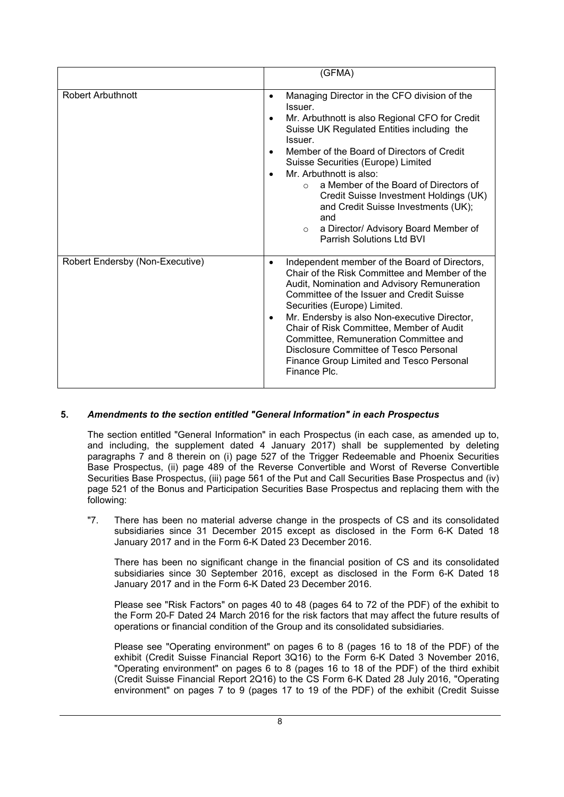|                                 | (GFMA)                                                                                                                                                                                                                                                                                                                                                                                                                                                                                                                                                     |
|---------------------------------|------------------------------------------------------------------------------------------------------------------------------------------------------------------------------------------------------------------------------------------------------------------------------------------------------------------------------------------------------------------------------------------------------------------------------------------------------------------------------------------------------------------------------------------------------------|
| <b>Robert Arbuthnott</b>        | Managing Director in the CFO division of the<br>$\bullet$<br>Issuer.<br>Mr. Arbuthnott is also Regional CFO for Credit<br>$\bullet$<br>Suisse UK Regulated Entities including the<br>Issuer.<br>Member of the Board of Directors of Credit<br>Suisse Securities (Europe) Limited<br>Mr. Arbuthnott is also:<br>$\bullet$<br>a Member of the Board of Directors of<br>$\cap$<br>Credit Suisse Investment Holdings (UK)<br>and Credit Suisse Investments (UK);<br>and<br>a Director/ Advisory Board Member of<br>$\circ$<br><b>Parrish Solutions Ltd BVI</b> |
| Robert Endersby (Non-Executive) | Independent member of the Board of Directors,<br>$\bullet$<br>Chair of the Risk Committee and Member of the<br>Audit, Nomination and Advisory Remuneration<br>Committee of the Issuer and Credit Suisse<br>Securities (Europe) Limited.<br>Mr. Endersby is also Non-executive Director,<br>$\bullet$<br>Chair of Risk Committee, Member of Audit<br>Committee, Remuneration Committee and<br>Disclosure Committee of Tesco Personal<br>Finance Group Limited and Tesco Personal<br>Finance Plc.                                                            |

## **5.** *Amendments to the section entitled "General Information" in each Prospectus*

The section entitled "General Information" in each Prospectus (in each case, as amended up to, and including, the supplement dated 4 January 2017) shall be supplemented by deleting paragraphs 7 and 8 therein on (i) page 527 of the Trigger Redeemable and Phoenix Securities Base Prospectus, (ii) page 489 of the Reverse Convertible and Worst of Reverse Convertible Securities Base Prospectus, (iii) page 561 of the Put and Call Securities Base Prospectus and (iv) page 521 of the Bonus and Participation Securities Base Prospectus and replacing them with the following:

"7. There has been no material adverse change in the prospects of CS and its consolidated subsidiaries since 31 December 2015 except as disclosed in the Form 6-K Dated 18 January 2017 and in the Form 6-K Dated 23 December 2016.

There has been no significant change in the financial position of CS and its consolidated subsidiaries since 30 September 2016, except as disclosed in the Form 6-K Dated 18 January 2017 and in the Form 6-K Dated 23 December 2016.

Please see "Risk Factors" on pages 40 to 48 (pages 64 to 72 of the PDF) of the exhibit to the Form 20-F Dated 24 March 2016 for the risk factors that may affect the future results of operations or financial condition of the Group and its consolidated subsidiaries.

Please see "Operating environment" on pages 6 to 8 (pages 16 to 18 of the PDF) of the exhibit (Credit Suisse Financial Report 3Q16) to the Form 6-K Dated 3 November 2016, "Operating environment" on pages 6 to 8 (pages 16 to 18 of the PDF) of the third exhibit (Credit Suisse Financial Report 2Q16) to the CS Form 6-K Dated 28 July 2016, "Operating environment" on pages 7 to 9 (pages 17 to 19 of the PDF) of the exhibit (Credit Suisse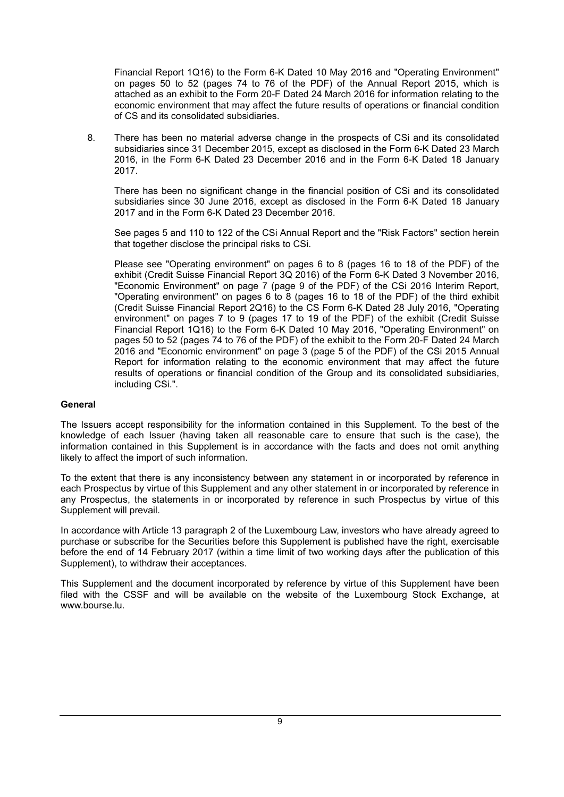Financial Report 1Q16) to the Form 6-K Dated 10 May 2016 and "Operating Environment" on pages 50 to 52 (pages 74 to 76 of the PDF) of the Annual Report 2015, which is attached as an exhibit to the Form 20-F Dated 24 March 2016 for information relating to the economic environment that may affect the future results of operations or financial condition of CS and its consolidated subsidiaries.

8. There has been no material adverse change in the prospects of CSi and its consolidated subsidiaries since 31 December 2015, except as disclosed in the Form 6-K Dated 23 March 2016, in the Form 6-K Dated 23 December 2016 and in the Form 6-K Dated 18 January 2017.

There has been no significant change in the financial position of CSi and its consolidated subsidiaries since 30 June 2016, except as disclosed in the Form 6-K Dated 18 January 2017 and in the Form 6-K Dated 23 December 2016.

See pages 5 and 110 to 122 of the CSi Annual Report and the "Risk Factors" section herein that together disclose the principal risks to CSi.

Please see "Operating environment" on pages 6 to 8 (pages 16 to 18 of the PDF) of the exhibit (Credit Suisse Financial Report 3Q 2016) of the Form 6-K Dated 3 November 2016, "Economic Environment" on page 7 (page 9 of the PDF) of the CSi 2016 Interim Report, "Operating environment" on pages 6 to 8 (pages 16 to 18 of the PDF) of the third exhibit (Credit Suisse Financial Report 2Q16) to the CS Form 6-K Dated 28 July 2016, "Operating environment" on pages 7 to 9 (pages 17 to 19 of the PDF) of the exhibit (Credit Suisse Financial Report 1Q16) to the Form 6-K Dated 10 May 2016, "Operating Environment" on pages 50 to 52 (pages 74 to 76 of the PDF) of the exhibit to the Form 20-F Dated 24 March 2016 and "Economic environment" on page 3 (page 5 of the PDF) of the CSi 2015 Annual Report for information relating to the economic environment that may affect the future results of operations or financial condition of the Group and its consolidated subsidiaries, including CSi.".

#### **General**

The Issuers accept responsibility for the information contained in this Supplement. To the best of the knowledge of each Issuer (having taken all reasonable care to ensure that such is the case), the information contained in this Supplement is in accordance with the facts and does not omit anything likely to affect the import of such information.

To the extent that there is any inconsistency between any statement in or incorporated by reference in each Prospectus by virtue of this Supplement and any other statement in or incorporated by reference in any Prospectus, the statements in or incorporated by reference in such Prospectus by virtue of this Supplement will prevail.

In accordance with Article 13 paragraph 2 of the Luxembourg Law, investors who have already agreed to purchase or subscribe for the Securities before this Supplement is published have the right, exercisable before the end of 14 February 2017 (within a time limit of two working days after the publication of this Supplement), to withdraw their acceptances.

This Supplement and the document incorporated by reference by virtue of this Supplement have been filed with the CSSF and will be available on the website of the Luxembourg Stock Exchange, at www.bourse.lu.